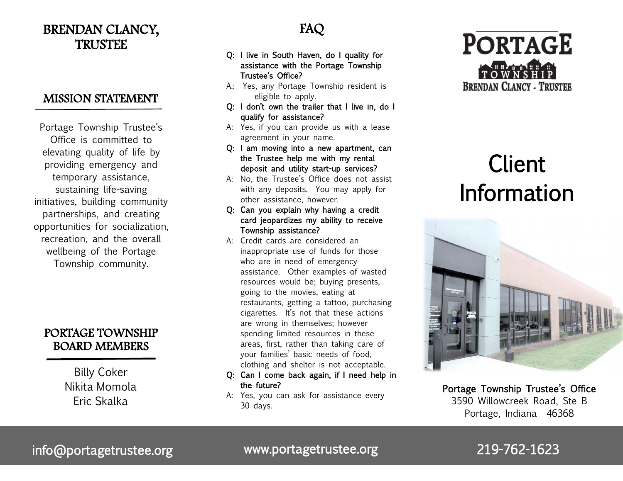# BRENDAN CLANCY, TRUSTEE

## MISSION STATEMENT

Portage Township Trustee's Office is committed to elevating quality of life by providing emergency and temporary assistance, sustaining life-saving initiatives, building community partnerships, and creating opportunities for socialization, recreation, and the overall wellbeing of the Portage Township community.

# PORTAGE TOWNSHIP BOARD MEMBERS

Billy Coker Nikita Momola Eric Skalka

# FAQ

- Q: I live in South Haven, do I quality for assistance with the Portage Township Trustee's Office?
- A.: Yes, any Portage Township resident is eligible to apply.
- Q: I don't own the trailer that I live in, do I qualify for assistance?
- A: Yes, if you can provide us with a lease agreement in your name.
- Q: I am moving into a new apartment, can the Trustee help me with my rental deposit and utility start-up services?
- A: No, the Trustee's Office does not assist with any deposits. You may apply for other assistance, however.
- Q: Can you explain why having a credit card jeopardizes my ability to receive Township assistance?
- A: Credit cards are considered an inappropriate use of funds for those who are in need of emergency assistance. Other examples of wasted resources would be; buying presents, going to the movies, eating at restaurants, getting a tattoo, purchasing cigarettes. It's not that these actions are wrong in themselves; however spending limited resources in these areas, first, rather than taking care of your families' basic needs of food, clothing and shelter is not acceptable.
- Q: Can I come back again, if I need help in the future?
- A: Yes, you can ask for assistance every 30 days.



# Client Information



Portage Township Trustee's Office 3590 Willowcreek Road, Ste B Portage, Indiana 46368

info@portagetrustee.org www.portagetrustee.org 219-762-1623